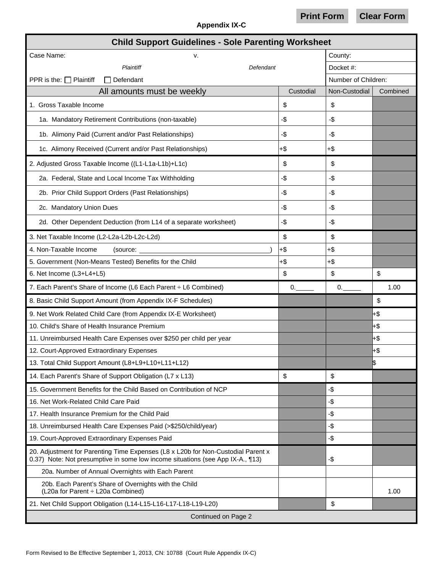## **Appendix IX-C**

| <b>Child Support Guidelines - Sole Parenting Worksheet</b>                                                                                                         |           |                     |          |  |  |  |  |  |
|--------------------------------------------------------------------------------------------------------------------------------------------------------------------|-----------|---------------------|----------|--|--|--|--|--|
| Case Name:<br>v.                                                                                                                                                   |           | County:             |          |  |  |  |  |  |
| Plaintiff<br>Defendant                                                                                                                                             |           | Docket #:           |          |  |  |  |  |  |
| PPR is the: $\Box$ Plaintiff<br>Defendant                                                                                                                          |           | Number of Children: |          |  |  |  |  |  |
| All amounts must be weekly                                                                                                                                         | Custodial | Non-Custodial       | Combined |  |  |  |  |  |
| 1. Gross Taxable Income                                                                                                                                            | \$        | \$                  |          |  |  |  |  |  |
| 1a. Mandatory Retirement Contributions (non-taxable)                                                                                                               | -\$       | -\$                 |          |  |  |  |  |  |
| 1b. Alimony Paid (Current and/or Past Relationships)                                                                                                               | -\$       | -\$                 |          |  |  |  |  |  |
| 1c. Alimony Received (Current and/or Past Relationships)                                                                                                           | $+$ \$    | $+$ \$              |          |  |  |  |  |  |
| 2. Adjusted Gross Taxable Income ((L1-L1a-L1b)+L1c)                                                                                                                | \$        | \$                  |          |  |  |  |  |  |
| 2a. Federal, State and Local Income Tax Withholding                                                                                                                | -\$       | -\$                 |          |  |  |  |  |  |
| 2b. Prior Child Support Orders (Past Relationships)                                                                                                                | -\$       | -\$                 |          |  |  |  |  |  |
| 2c. Mandatory Union Dues                                                                                                                                           | -\$       | -\$                 |          |  |  |  |  |  |
| 2d. Other Dependent Deduction (from L14 of a separate worksheet)                                                                                                   | -\$       | $-\$$               |          |  |  |  |  |  |
| 3. Net Taxable Income (L2-L2a-L2b-L2c-L2d)                                                                                                                         | \$        | \$                  |          |  |  |  |  |  |
| 4. Non-Taxable Income<br>(source:                                                                                                                                  | $+$ \$    | $+\$$               |          |  |  |  |  |  |
| 5. Government (Non-Means Tested) Benefits for the Child                                                                                                            | $+$ \$    | $+$ \$              |          |  |  |  |  |  |
| 6. Net Income (L3+L4+L5)                                                                                                                                           | \$        | \$                  | \$       |  |  |  |  |  |
| 7. Each Parent's Share of Income (L6 Each Parent ÷ L6 Combined)                                                                                                    | 0.        | 0.                  | 1.00     |  |  |  |  |  |
|                                                                                                                                                                    |           |                     |          |  |  |  |  |  |
| 8. Basic Child Support Amount (from Appendix IX-F Schedules)                                                                                                       |           |                     | \$       |  |  |  |  |  |
| 9. Net Work Related Child Care (from Appendix IX-E Worksheet)                                                                                                      |           |                     | $+$ \$   |  |  |  |  |  |
| 10. Child's Share of Health Insurance Premium                                                                                                                      |           |                     | +\$      |  |  |  |  |  |
| 11. Unreimbursed Health Care Expenses over \$250 per child per year                                                                                                |           |                     | +\$      |  |  |  |  |  |
| 12. Court-Approved Extraordinary Expenses                                                                                                                          |           |                     | +\$      |  |  |  |  |  |
| 13. Total Child Support Amount (L8+L9+L10+L11+L12)                                                                                                                 |           |                     | 15       |  |  |  |  |  |
| 14. Each Parent's Share of Support Obligation (L7 x L13)                                                                                                           | \$        | \$                  |          |  |  |  |  |  |
| 15. Government Benefits for the Child Based on Contribution of NCP                                                                                                 |           | -\$                 |          |  |  |  |  |  |
| 16. Net Work-Related Child Care Paid                                                                                                                               |           | -\$                 |          |  |  |  |  |  |
| 17. Health Insurance Premium for the Child Paid                                                                                                                    |           | -\$                 |          |  |  |  |  |  |
| 18. Unreimbursed Health Care Expenses Paid (>\$250/child/year)                                                                                                     |           | -\$                 |          |  |  |  |  |  |
| 19. Court-Approved Extraordinary Expenses Paid                                                                                                                     |           | -\$                 |          |  |  |  |  |  |
| 20. Adjustment for Parenting Time Expenses (L8 x L20b for Non-Custodial Parent x<br>0.37) Note: Not presumptive in some low income situations (see App IX-A., 113) |           | -\$                 |          |  |  |  |  |  |
| 20a. Number of Annual Overnights with Each Parent                                                                                                                  |           |                     |          |  |  |  |  |  |
| 20b. Each Parent's Share of Overnights with the Child<br>(L20a for Parent : L20a Combined)                                                                         |           |                     | 1.00     |  |  |  |  |  |
| 21. Net Child Support Obligation (L14-L15-L16-L17-L18-L19-L20)                                                                                                     |           | \$                  |          |  |  |  |  |  |